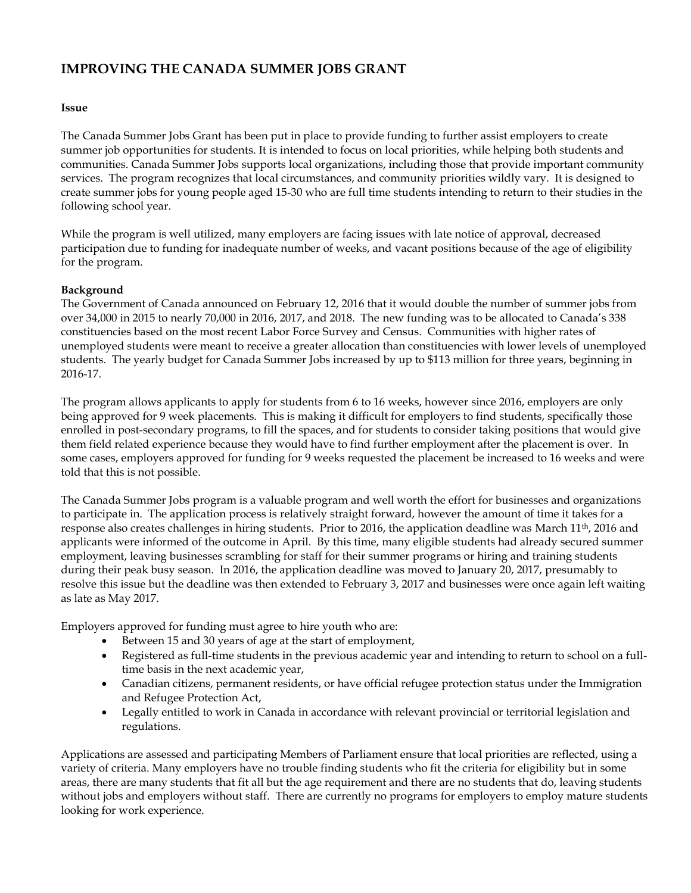# **IMPROVING THE CANADA SUMMER JOBS GRANT**

#### **Issue**

The Canada Summer Jobs Grant has been put in place to provide funding to further assist employers to create summer job opportunities for students. It is intended to focus on local priorities, while helping both students and communities. Canada Summer Jobs supports local organizations, including those that provide important community services. The program recognizes that local circumstances, and community priorities wildly vary. It is designed to create summer jobs for young people aged 15-30 who are full time students intending to return to their studies in the following school year.

While the program is well utilized, many employers are facing issues with late notice of approval, decreased participation due to funding for inadequate number of weeks, and vacant positions because of the age of eligibility for the program.

## **Background**

The Government of Canada announced on February 12, 2016 that it would double the number of summer jobs from over 34,000 in 2015 to nearly 70,000 in 2016, 2017, and 2018. The new funding was to be allocated to Canada's 338 constituencies based on the most recent Labor Force Survey and Census. Communities with higher rates of unemployed students were meant to receive a greater allocation than constituencies with lower levels of unemployed students. The yearly budget for Canada Summer Jobs increased by up to \$113 million for three years, beginning in 2016-17.

The program allows applicants to apply for students from 6 to 16 weeks, however since 2016, employers are only being approved for 9 week placements. This is making it difficult for employers to find students, specifically those enrolled in post-secondary programs, to fill the spaces, and for students to consider taking positions that would give them field related experience because they would have to find further employment after the placement is over. In some cases, employers approved for funding for 9 weeks requested the placement be increased to 16 weeks and were told that this is not possible.

The Canada Summer Jobs program is a valuable program and well worth the effort for businesses and organizations to participate in. The application process is relatively straight forward, however the amount of time it takes for a response also creates challenges in hiring students. Prior to 2016, the application deadline was March 11th, 2016 and applicants were informed of the outcome in April. By this time, many eligible students had already secured summer employment, leaving businesses scrambling for staff for their summer programs or hiring and training students during their peak busy season. In 2016, the application deadline was moved to January 20, 2017, presumably to resolve this issue but the deadline was then extended to February 3, 2017 and businesses were once again left waiting as late as May 2017.

Employers approved for funding must agree to hire youth who are:

- Between 15 and 30 years of age at the start of employment,
- Registered as full-time students in the previous academic year and intending to return to school on a fulltime basis in the next academic year,
- Canadian citizens, permanent residents, or have official refugee protection status under the Immigration and Refugee Protection Act,
- Legally entitled to work in Canada in accordance with relevant provincial or territorial legislation and regulations.

Applications are assessed and participating Members of Parliament ensure that local priorities are reflected, using a variety of criteria. Many employers have no trouble finding students who fit the criteria for eligibility but in some areas, there are many students that fit all but the age requirement and there are no students that do, leaving students without jobs and employers without staff. There are currently no programs for employers to employ mature students looking for work experience.